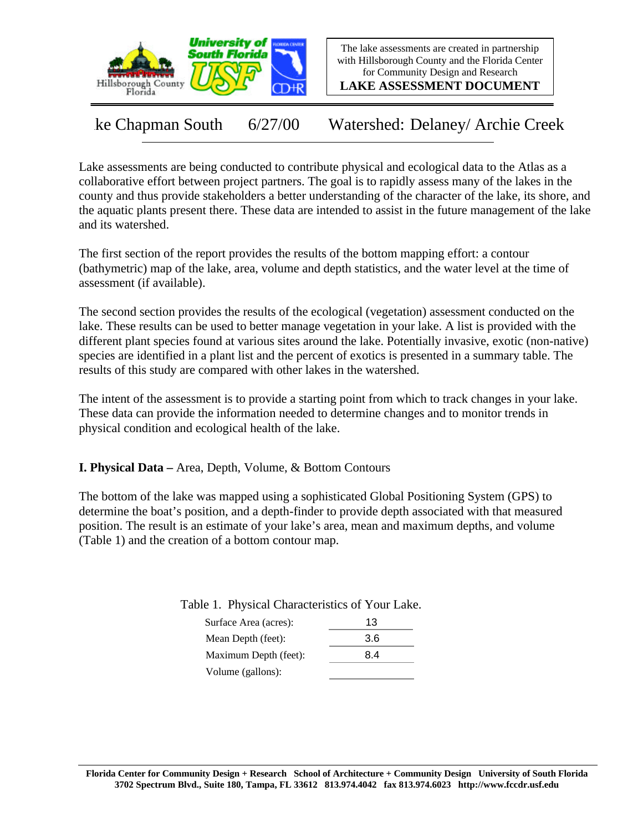

The lake assessments are created in partnership with Hillsborough County and the Florida Center for Community Design and Research

**LAKE ASSESSMENT DOCUMENT**

ke Chapman South 6/27/00 Watershed: Delaney/ Archie Creek

Lake assessments are being conducted to contribute physical and ecological data to the Atlas as a collaborative effort between project partners. The goal is to rapidly assess many of the lakes in the county and thus provide stakeholders a better understanding of the character of the lake, its shore, and the aquatic plants present there. These data are intended to assist in the future management of the lake and its watershed.

The first section of the report provides the results of the bottom mapping effort: a contour (bathymetric) map of the lake, area, volume and depth statistics, and the water level at the time of assessment (if available).

The second section provides the results of the ecological (vegetation) assessment conducted on the lake. These results can be used to better manage vegetation in your lake. A list is provided with the different plant species found at various sites around the lake. Potentially invasive, exotic (non-native) species are identified in a plant list and the percent of exotics is presented in a summary table. The results of this study are compared with other lakes in the watershed.

The intent of the assessment is to provide a starting point from which to track changes in your lake. These data can provide the information needed to determine changes and to monitor trends in physical condition and ecological health of the lake.

**I. Physical Data –** Area, Depth, Volume, & Bottom Contours

The bottom of the lake was mapped using a sophisticated Global Positioning System (GPS) to determine the boat's position, and a depth-finder to provide depth associated with that measured position. The result is an estimate of your lake's area, mean and maximum depths, and volume (Table 1) and the creation of a bottom contour map.

Table 1. Physical Characteristics of Your Lake.

| Surface Area (acres): | 13  |
|-----------------------|-----|
| Mean Depth (feet):    | 3.6 |
| Maximum Depth (feet): | 8.4 |
| Volume (gallons):     |     |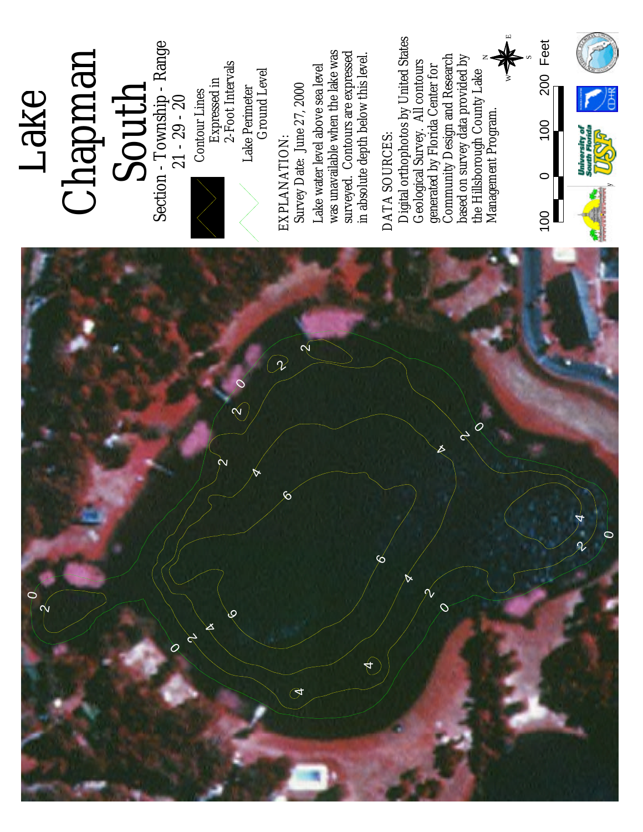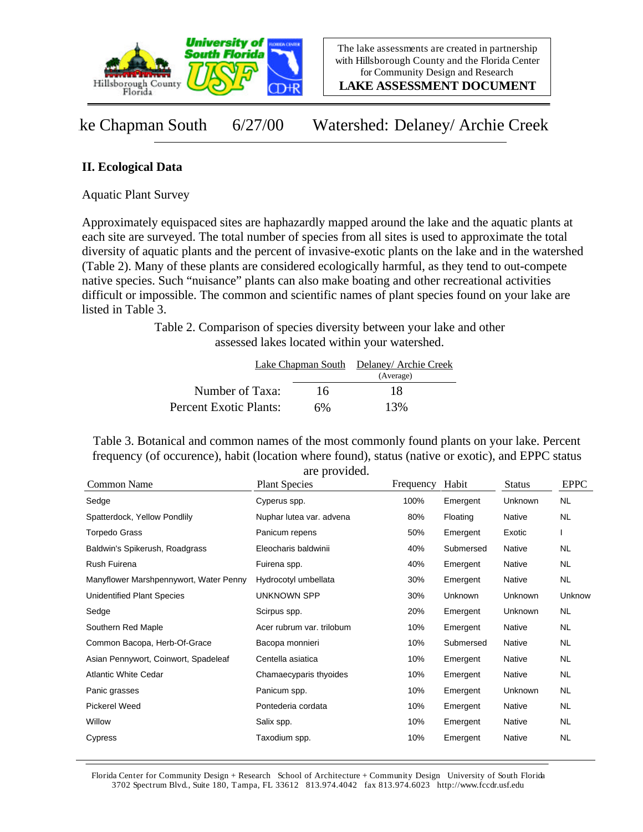

**LAKE ASSESSMENT DOCUMENT**

ke Chapman South 6/27/00 Watershed: Delaney/ Archie Creek

## **II. Ecological Data**

Aquatic Plant Survey

Approximately equispaced sites are haphazardly mapped around the lake and the aquatic plants at each site are surveyed. The total number of species from all sites is used to approximate the total diversity of aquatic plants and the percent of invasive-exotic plants on the lake and in the watershed (Table 2). Many of these plants are considered ecologically harmful, as they tend to out-compete native species. Such "nuisance" plants can also make boating and other recreational activities difficult or impossible. The common and scientific names of plant species found on your lake are listed in Table 3.

> Table 2. Comparison of species diversity between your lake and other assessed lakes located within your watershed.

|                        |    | Lake Chapman South Delaney/Archie Creek |  |
|------------------------|----|-----------------------------------------|--|
|                        |    | (Average)                               |  |
| Number of Taxa:        | 16 | 18                                      |  |
| Percent Exotic Plants: | 6% | 13%                                     |  |

Table 3. Botanical and common names of the most commonly found plants on your lake. Percent frequency (of occurence), habit (location where found), status (native or exotic), and EPPC status are provided.

| Common Name                            | <b>Plant Species</b>      | Frequency | Habit     | <b>Status</b> | <b>EPPC</b> |
|----------------------------------------|---------------------------|-----------|-----------|---------------|-------------|
| Sedge                                  | Cyperus spp.              | 100%      | Emergent  | Unknown       | NL.         |
| Spatterdock, Yellow Pondlily           | Nuphar lutea var. advena  | 80%       | Floating  | Native        | <b>NL</b>   |
| <b>Torpedo Grass</b>                   | Panicum repens            | 50%       | Emergent  | Exotic        |             |
| Baldwin's Spikerush, Roadgrass         | Eleocharis baldwinii      | 40%       | Submersed | Native        | NL.         |
| Rush Fuirena                           | Fuirena spp.              | 40%       | Emergent  | Native        | NL.         |
| Manyflower Marshpennywort, Water Penny | Hydrocotyl umbellata      | 30%       | Emergent  | Native        | <b>NL</b>   |
| <b>Unidentified Plant Species</b>      | <b>UNKNOWN SPP</b>        | 30%       | Unknown   | Unknown       | Unknow      |
| Sedge                                  | Scirpus spp.              | 20%       | Emergent  | Unknown       | NL          |
| Southern Red Maple                     | Acer rubrum var. trilobum | 10%       | Emergent  | Native        | NL.         |
| Common Bacopa, Herb-Of-Grace           | Bacopa monnieri           | 10%       | Submersed | Native        | NL.         |
| Asian Pennywort, Coinwort, Spadeleaf   | Centella asiatica         | 10%       | Emergent  | Native        | NL.         |
| <b>Atlantic White Cedar</b>            | Chamaecyparis thyoides    | 10%       | Emergent  | Native        | NL.         |
| Panic grasses                          | Panicum spp.              | 10%       | Emergent  | Unknown       | NL.         |
| Pickerel Weed                          | Pontederia cordata        | 10%       | Emergent  | Native        | NL.         |
| Willow                                 | Salix spp.                | 10%       | Emergent  | Native        | NL.         |
| Cypress                                | Taxodium spp.             | 10%       | Emergent  | Native        | NL          |

Florida Center for Community Design + Research School of Architecture + Community Design University of South Florida 3702 Spectrum Blvd., Suite 180, Tampa, FL 33612 813.974.4042 fax 813.974.6023 http://www.fccdr.usf.edu